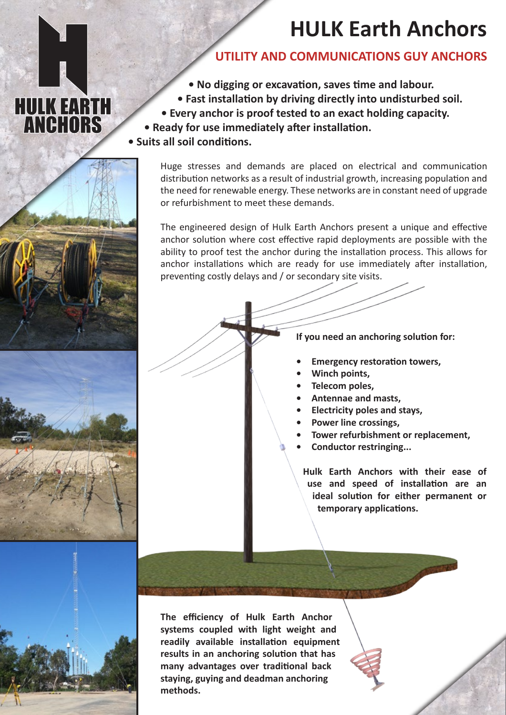# **HULK Earth Anchors**

## **UTILITY AND COMMUNICATIONS GUY ANCHORS**

- **No digging or excavation, saves time and labour.**
- **Fast installation by driving directly into undisturbed soil.**
- **Every anchor is proof tested to an exact holding capacity.**
- **Ready for use immediately after installation.**
- **Suits all soil conditions.**

Huge stresses and demands are placed on electrical and communication distribution networks as a result of industrial growth, increasing population and the need for renewable energy. These networks are in constant need of upgrade or refurbishment to meet these demands.

The engineered design of Hulk Earth Anchors present a unique and effective anchor solution where cost effective rapid deployments are possible with the ability to proof test the anchor during the installation process. This allows for anchor installations which are ready for use immediately after installation, preventing costly delays and / or secondary site visits.

**If you need an anchoring solution for:**

- **• Emergency restoration towers,**
- **• Winch points,**
- **• Telecom poles,**
- **• Antennae and masts,**
- **• Electricity poles and stays,**
- **• Power line crossings,**
- **• Tower refurbishment or replacement,**
- **• Conductor restringing...**

**Hulk Earth Anchors with their ease of use and speed of installation are an ideal solution for either permanent or temporary applications.**

**HULK EARTH**<br>**ANCHORS** 

**The efficiency of Hulk Earth Anchor systems coupled with light weight and readily available installation equipment results in an anchoring solution that has many advantages over traditional back staying, guying and deadman anchoring methods.**